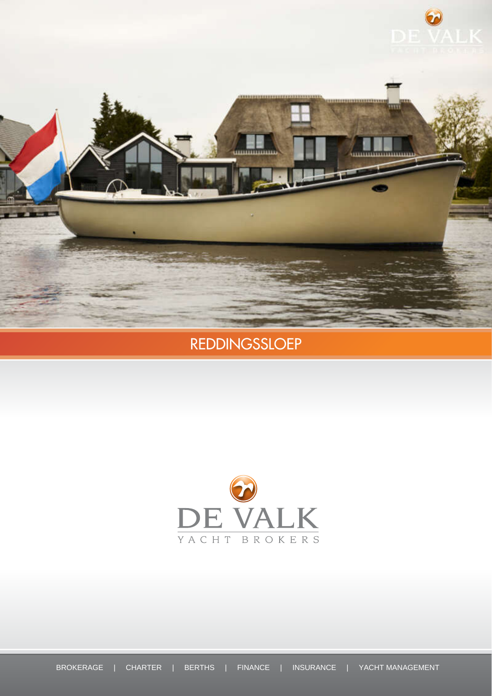



## **[REDDINGSSLOEP](https://www.devalk.nl/en/yachtbrokerage/803371/REDDINGSSLOEP.html)**



[BROKERAGE](https://www.devalk.nl/en/Yachts-for-sale.html) | [CHARTER](https://www.devalk.nl/en/Services/32/Charter.html) | [BERTHS](https://www.devalk.nl/en/berths.html) | [FINANCE](http://www.devalkfi.nl) | [INSURANCE](http://www.devalkfi.nl) | YACHT\_MANAGEMENT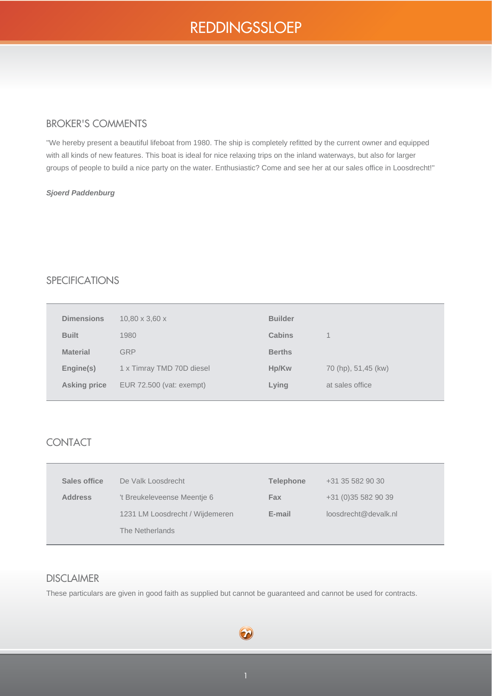#### **BROKER'S COMMENTS**

''We hereby present a beautiful lifeboat from 1980. The ship is completely refitted by the current owner and equipped with all kinds of new features. This boat is ideal for nice relaxing trips on the inland waterways, but also for larger groups of people to build a nice party on the water. Enthusiastic? Come and see her at our sales office in Loosdrecht!''

#### **Sjoerd Paddenburg**

#### **SPECIFICATIONS**

|                 | <b>Dimensions</b>   | $10,80 \times 3,60 \times$ | <b>Builder</b> |                     |
|-----------------|---------------------|----------------------------|----------------|---------------------|
| <b>Built</b>    |                     | 1980                       | Cabins         |                     |
| <b>Material</b> |                     | <b>GRP</b>                 | <b>Berths</b>  |                     |
|                 | Engine(s)           | 1 x Timray TMD 70D diesel  | Hp/Kw          | 70 (hp), 51,45 (kw) |
|                 | <b>Asking price</b> | EUR 72.500 (vat: exempt)   | Lying          | at sales office     |
|                 |                     |                            |                |                     |

#### **CONTACT**

#### **DISCLAIMER**

These particulars are given in good faith as supplied but cannot be guaranteed and cannot be used for contracts.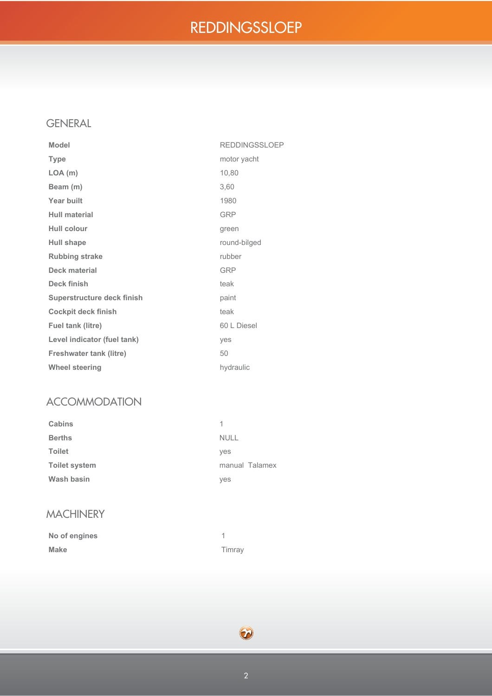## **[REDDINGSSLOEP](https://www.devalk.nl/en/yachtbrokerage/803371/REDDINGSSLOEP.html)**

#### **GENERAL**

| <b>Model</b>                      | <b>REDDINGSSLOEP</b> |
|-----------------------------------|----------------------|
| <b>Type</b>                       | motor yacht          |
| LOA(m)                            | 10,80                |
| Beam (m)                          | 3,60                 |
| Year built                        | 1980                 |
| <b>Hull material</b>              | <b>GRP</b>           |
| <b>Hull colour</b>                | green                |
| Hull shape                        | round-bilged         |
| <b>Rubbing strake</b>             | rubber               |
| Deck material                     | <b>GRP</b>           |
| Deck finish                       | teak                 |
| <b>Superstructure deck finish</b> | paint                |
| <b>Cockpit deck finish</b>        | teak                 |
| Fuel tank (litre)                 | 60 L Diesel          |
| Level indicator (fuel tank)       | ves                  |
| <b>Freshwater tank (litre)</b>    | 50                   |
| <b>Wheel steering</b>             | hydraulic            |

### **ACCOMMODATION**

| <b>Cabins</b>        | 1              |
|----------------------|----------------|
| <b>Berths</b>        | <b>NULL</b>    |
| <b>Toilet</b>        | yes            |
| <b>Toilet system</b> | manual Talamex |
| <b>Wash basin</b>    | ves            |

#### **MACHINERY**

| No of engines |        |
|---------------|--------|
| <b>Make</b>   | Timray |

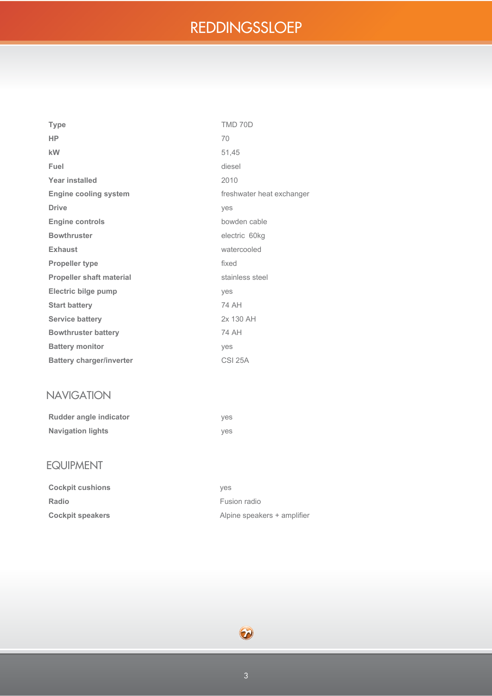## **[REDDINGSSLOEP](https://www.devalk.nl/en/yachtbrokerage/803371/REDDINGSSLOEP.html)**

| <b>Type</b>                     | TMD 70D                   |
|---------------------------------|---------------------------|
| HP                              | 70                        |
| kW                              | 51,45                     |
| Fuel                            | diesel                    |
| Year installed                  | 2010                      |
| <b>Engine cooling system</b>    | freshwater heat exchanger |
| <b>Drive</b>                    | ves                       |
| <b>Engine controls</b>          | bowden cable              |
| <b>Bowthruster</b>              | electric 60kg             |
| <b>Exhaust</b>                  | watercooled               |
| <b>Propeller type</b>           | fixed                     |
| <b>Propeller shaft material</b> | stainless steel           |
| <b>Electric bilge pump</b>      | yes                       |
| <b>Start battery</b>            | 74 AH                     |
| <b>Service battery</b>          | 2x 130 AH                 |
| <b>Bowthruster battery</b>      | 74 AH                     |
| <b>Battery monitor</b>          | yes                       |
| <b>Battery charger/inverter</b> | CSI <sub>25</sub> A       |

#### **NAVIGATION**

| Rudder angle indicator   | yes |
|--------------------------|-----|
| <b>Navigation lights</b> | yes |

#### **EQUIPMENT**

| <b>Cockpit cushions</b> | ves                         |
|-------------------------|-----------------------------|
| Radio                   | Fusion radio                |
| <b>Cockpit speakers</b> | Alpine speakers + amplifier |

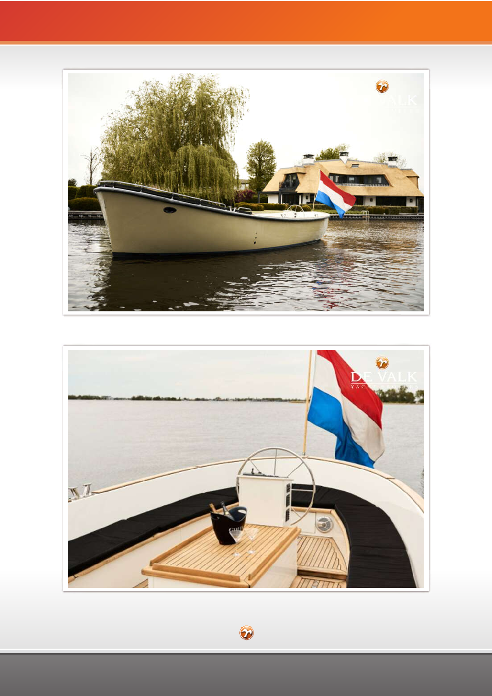# $5('', 1 * 6 6 / 2 (3$



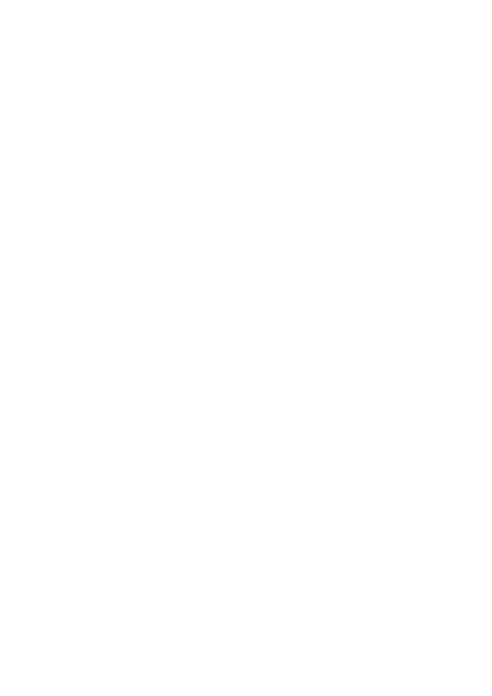| ---- |  |
|------|--|
|      |  |
|      |  |
|      |  |
|      |  |
|      |  |
|      |  |
|      |  |
|      |  |
|      |  |
|      |  |
|      |  |
|      |  |
|      |  |
|      |  |
|      |  |
|      |  |
|      |  |
|      |  |
|      |  |
|      |  |
|      |  |
|      |  |
|      |  |
|      |  |
|      |  |
|      |  |
|      |  |
|      |  |
|      |  |
|      |  |
|      |  |
|      |  |
|      |  |
|      |  |
|      |  |
|      |  |
|      |  |
|      |  |
|      |  |
|      |  |
|      |  |
|      |  |
|      |  |
|      |  |
|      |  |
|      |  |
|      |  |
|      |  |
|      |  |
|      |  |
|      |  |
|      |  |
|      |  |
|      |  |
|      |  |
|      |  |
|      |  |
|      |  |

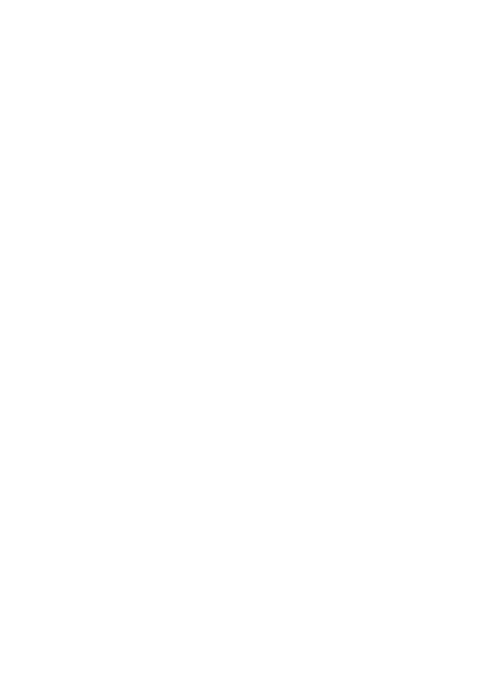| ---- |  |
|------|--|
|      |  |
|      |  |
|      |  |
|      |  |
|      |  |
|      |  |
|      |  |
|      |  |
|      |  |
|      |  |
|      |  |
|      |  |
|      |  |
|      |  |
|      |  |
|      |  |
|      |  |
|      |  |
|      |  |
|      |  |
|      |  |
|      |  |
|      |  |
|      |  |
|      |  |
|      |  |
|      |  |
|      |  |
|      |  |
|      |  |
|      |  |
|      |  |
|      |  |
|      |  |
|      |  |
|      |  |
|      |  |
|      |  |
|      |  |
|      |  |
|      |  |
|      |  |
|      |  |
|      |  |
|      |  |
|      |  |
|      |  |
|      |  |
|      |  |
|      |  |
|      |  |
|      |  |
|      |  |
|      |  |
|      |  |
|      |  |
|      |  |
|      |  |

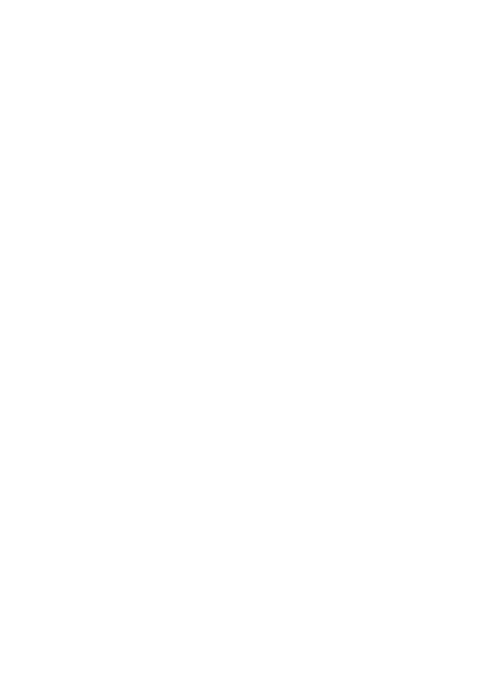| ---- |  |
|------|--|
|      |  |
|      |  |
|      |  |
|      |  |
|      |  |
|      |  |
|      |  |
|      |  |
|      |  |
|      |  |
|      |  |
|      |  |
|      |  |
|      |  |
|      |  |
|      |  |
|      |  |
|      |  |
|      |  |
|      |  |
|      |  |
|      |  |
|      |  |
|      |  |
|      |  |
|      |  |
|      |  |
|      |  |
|      |  |
|      |  |
|      |  |
|      |  |
|      |  |
|      |  |
|      |  |
|      |  |
|      |  |
|      |  |
|      |  |
|      |  |
|      |  |
|      |  |
|      |  |
|      |  |
|      |  |
|      |  |
|      |  |
|      |  |
|      |  |
|      |  |
|      |  |
|      |  |
|      |  |
|      |  |
|      |  |
|      |  |
|      |  |
|      |  |

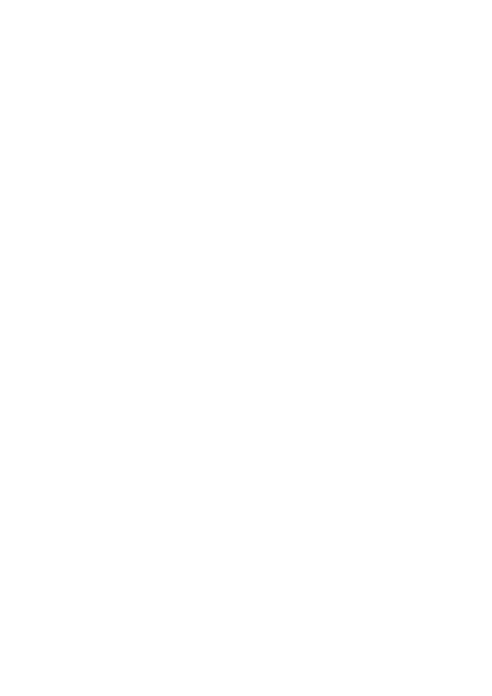| ---- |  |
|------|--|
|      |  |
|      |  |
|      |  |
|      |  |
|      |  |
|      |  |
|      |  |
|      |  |
|      |  |
|      |  |
|      |  |
|      |  |
|      |  |
|      |  |
|      |  |
|      |  |
|      |  |
|      |  |
|      |  |
|      |  |
|      |  |
|      |  |
|      |  |
|      |  |
|      |  |
|      |  |
|      |  |
|      |  |
|      |  |
|      |  |
|      |  |
|      |  |
|      |  |
|      |  |
|      |  |
|      |  |
|      |  |
|      |  |
|      |  |
|      |  |
|      |  |
|      |  |
|      |  |
|      |  |
|      |  |
|      |  |
|      |  |
|      |  |
|      |  |
|      |  |
|      |  |
|      |  |
|      |  |
|      |  |
|      |  |
|      |  |
|      |  |
|      |  |

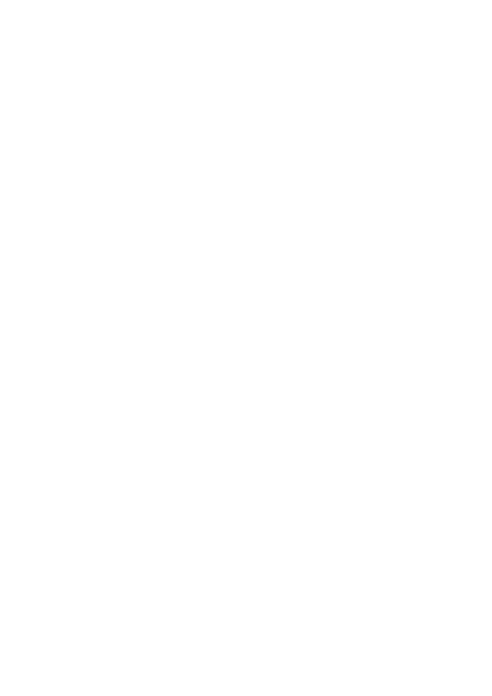| ---- |  |
|------|--|
|      |  |
|      |  |
|      |  |
|      |  |
|      |  |
|      |  |
|      |  |
|      |  |
|      |  |
|      |  |
|      |  |
|      |  |
|      |  |
|      |  |
|      |  |
|      |  |
|      |  |
|      |  |
|      |  |
|      |  |
|      |  |
|      |  |
|      |  |
|      |  |
|      |  |
|      |  |
|      |  |
|      |  |
|      |  |
|      |  |
|      |  |
|      |  |
|      |  |
|      |  |
|      |  |
|      |  |
|      |  |
|      |  |
|      |  |
|      |  |
|      |  |
|      |  |
|      |  |
|      |  |
|      |  |
|      |  |
|      |  |
|      |  |
|      |  |
|      |  |
|      |  |
|      |  |
|      |  |
|      |  |
|      |  |
|      |  |
|      |  |
|      |  |

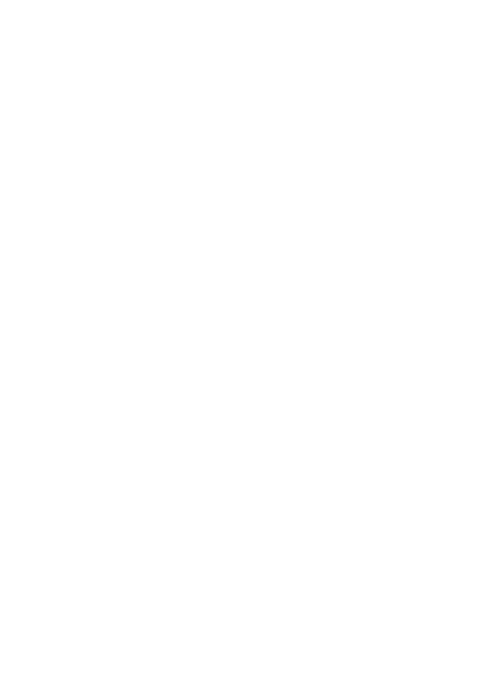| ---- |  |
|------|--|
|      |  |
|      |  |
|      |  |
|      |  |
|      |  |
|      |  |
|      |  |
|      |  |
|      |  |
|      |  |
|      |  |
|      |  |
|      |  |
|      |  |
|      |  |
|      |  |
|      |  |
|      |  |
|      |  |
|      |  |
|      |  |
|      |  |
|      |  |
|      |  |
|      |  |
|      |  |
|      |  |
|      |  |
|      |  |
|      |  |
|      |  |
|      |  |
|      |  |
|      |  |
|      |  |
|      |  |
|      |  |
|      |  |
|      |  |
|      |  |
|      |  |
|      |  |
|      |  |
|      |  |
|      |  |
|      |  |
|      |  |
|      |  |
|      |  |
|      |  |
|      |  |
|      |  |
|      |  |
|      |  |
|      |  |
|      |  |
|      |  |
|      |  |

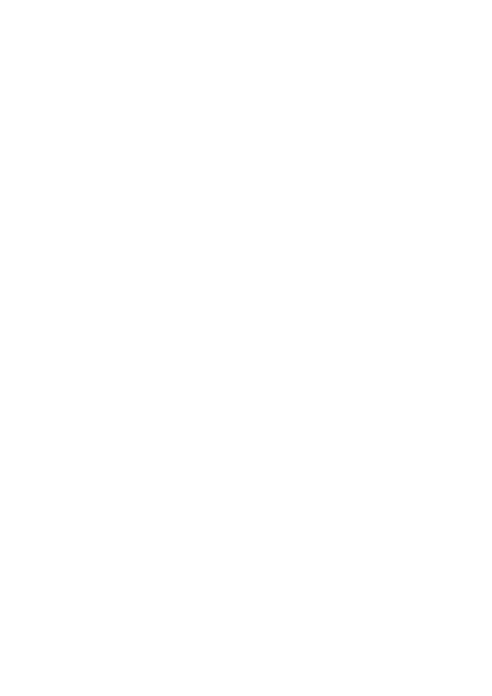| ---- |  |
|------|--|
|      |  |
|      |  |
|      |  |
|      |  |
|      |  |
|      |  |
|      |  |
|      |  |
|      |  |
|      |  |
|      |  |
|      |  |
|      |  |
|      |  |
|      |  |
|      |  |
|      |  |
|      |  |
|      |  |
|      |  |
|      |  |
|      |  |
|      |  |
|      |  |
|      |  |
|      |  |
|      |  |
|      |  |
|      |  |
|      |  |
|      |  |
|      |  |
|      |  |
|      |  |
|      |  |
|      |  |
|      |  |
|      |  |
|      |  |
|      |  |
|      |  |
|      |  |
|      |  |
|      |  |
|      |  |
|      |  |
|      |  |
|      |  |
|      |  |
|      |  |
|      |  |
|      |  |
|      |  |
|      |  |
|      |  |
|      |  |
|      |  |
|      |  |

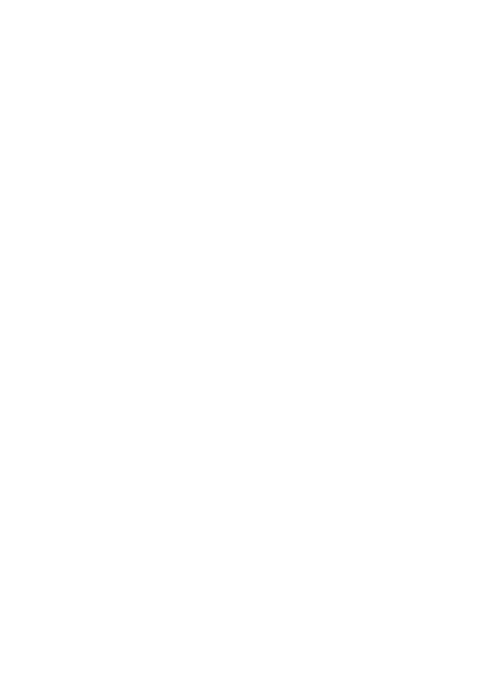| ---- |  |
|------|--|
|      |  |
|      |  |
|      |  |
|      |  |
|      |  |
|      |  |
|      |  |
|      |  |
|      |  |
|      |  |
|      |  |
|      |  |
|      |  |
|      |  |
|      |  |
|      |  |
|      |  |
|      |  |
|      |  |
|      |  |
|      |  |
|      |  |
|      |  |
|      |  |
|      |  |
|      |  |
|      |  |
|      |  |
|      |  |
|      |  |
|      |  |
|      |  |
|      |  |
|      |  |
|      |  |
|      |  |
|      |  |
|      |  |
|      |  |
|      |  |
|      |  |
|      |  |
|      |  |
|      |  |
|      |  |
|      |  |
|      |  |
|      |  |
|      |  |
|      |  |
|      |  |
|      |  |
|      |  |
|      |  |
|      |  |
|      |  |
|      |  |
|      |  |

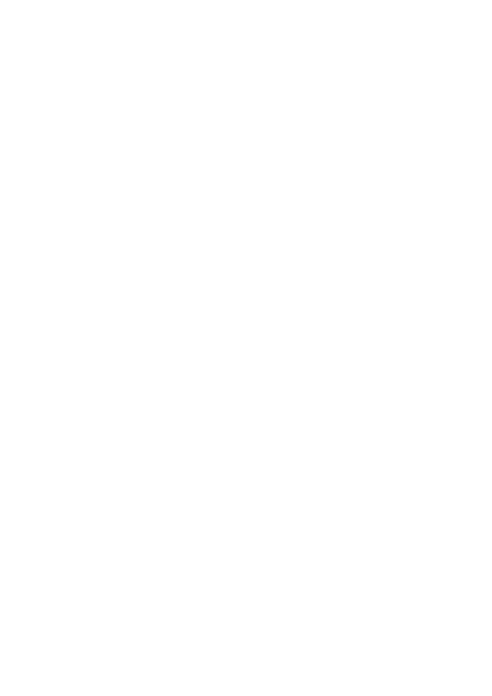| ---- |  |
|------|--|
|      |  |
|      |  |
|      |  |
|      |  |
|      |  |
|      |  |
|      |  |
|      |  |
|      |  |
|      |  |
|      |  |
|      |  |
|      |  |
|      |  |
|      |  |
|      |  |
|      |  |
|      |  |
|      |  |
|      |  |
|      |  |
|      |  |
|      |  |
|      |  |
|      |  |
|      |  |
|      |  |
|      |  |
|      |  |
|      |  |
|      |  |
|      |  |
|      |  |
|      |  |
|      |  |
|      |  |
|      |  |
|      |  |
|      |  |
|      |  |
|      |  |
|      |  |
|      |  |
|      |  |
|      |  |
|      |  |
|      |  |
|      |  |
|      |  |
|      |  |
|      |  |
|      |  |
|      |  |
|      |  |
|      |  |
|      |  |
|      |  |
|      |  |

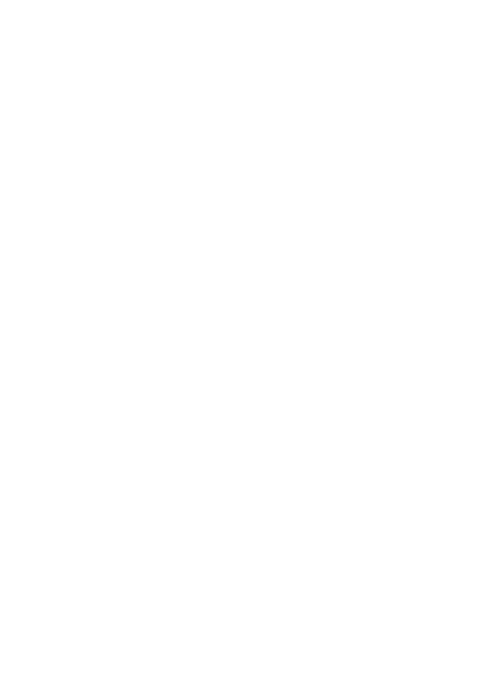| ---- |  |
|------|--|
|      |  |
|      |  |
|      |  |
|      |  |
|      |  |
|      |  |
|      |  |
|      |  |
|      |  |
|      |  |
|      |  |
|      |  |
|      |  |
|      |  |
|      |  |
|      |  |
|      |  |
|      |  |
|      |  |
|      |  |
|      |  |
|      |  |
|      |  |
|      |  |
|      |  |
|      |  |
|      |  |
|      |  |
|      |  |
|      |  |
|      |  |
|      |  |
|      |  |
|      |  |
|      |  |
|      |  |
|      |  |
|      |  |
|      |  |
|      |  |
|      |  |
|      |  |
|      |  |
|      |  |
|      |  |
|      |  |
|      |  |
|      |  |
|      |  |
|      |  |
|      |  |
|      |  |
|      |  |
|      |  |
|      |  |
|      |  |
|      |  |
|      |  |